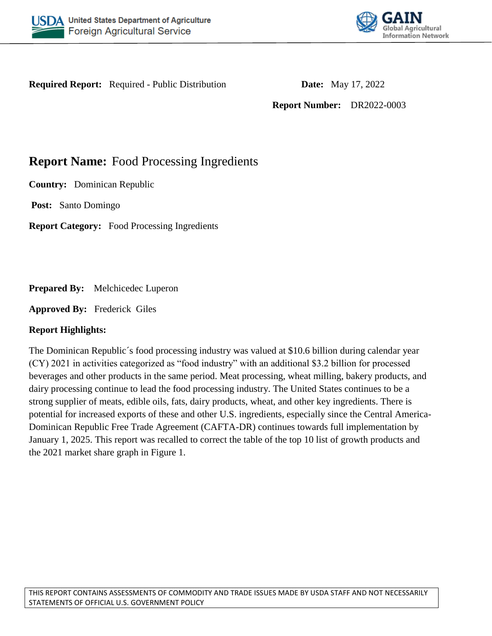



**Required Report:** Required - Public Distribution **Date:** May 17, 2022

**Report Number:** DR2022-0003

# **Report Name:** Food Processing Ingredients

**Country:** Dominican Republic

**Post:** Santo Domingo

**Report Category:** Food Processing Ingredients

**Prepared By:** Melchicedec Luperon

**Approved By:** Frederick Giles

# **Report Highlights:**

The Dominican Republic´s food processing industry was valued at \$10.6 billion during calendar year (CY) 2021 in activities categorized as "food industry" with an additional \$3.2 billion for processed beverages and other products in the same period. Meat processing, wheat milling, bakery products, and dairy processing continue to lead the food processing industry. The United States continues to be a strong supplier of meats, edible oils, fats, dairy products, wheat, and other key ingredients. There is potential for increased exports of these and other U.S. ingredients, especially since the Central America-Dominican Republic Free Trade Agreement (CAFTA-DR) continues towards full implementation by January 1, 2025. This report was recalled to correct the table of the top 10 list of growth products and the 2021 market share graph in Figure 1.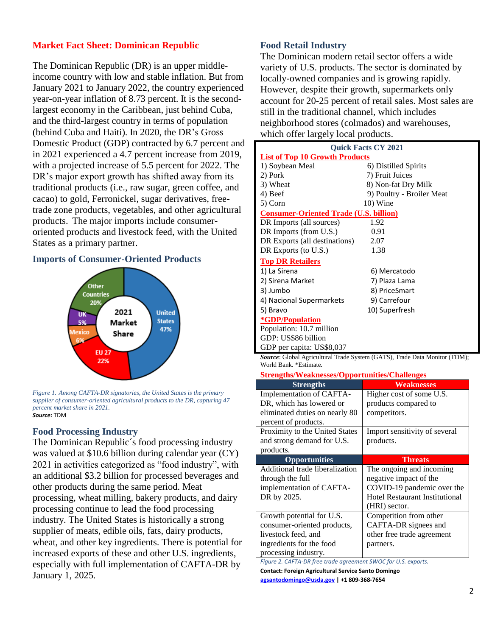### **Market Fact Sheet: Dominican Republic**

The Dominican Republic (DR) is an upper middleincome country with low and stable inflation. But from January 2021 to January 2022, the country experienced year-on-year inflation of 8.73 percent. It is the secondlargest economy in the Caribbean, just behind Cuba, and the third-largest country in terms of population (behind Cuba and Haiti). In 2020, the DR's Gross Domestic Product (GDP) contracted by 6.7 percent and in 2021 experienced a 4.7 percent increase from 2019, with a projected increase of 5.5 percent for 2022. The DR's major export growth has shifted away from its traditional products (i.e., raw sugar, green coffee, and cacao) to gold, Ferronickel, sugar derivatives, freetrade zone products, vegetables, and other agricultural products. The major imports include consumeroriented products and livestock feed, with the United States as a primary partner.

## **Imports of Consumer-Oriented Products**



*Figure 1. Among CAFTA-DR signatories, the United States is the primary supplier of consumer-oriented agricultural products to the DR, capturing 47 percent market share in 2021. Source:* TDM

#### **Food Processing Industry**

The Dominican Republic´s food processing industry was valued at \$10.6 billion during calendar year (CY) 2021 in activities categorized as "food industry", with an additional \$3.2 billion for processed beverages and other products during the same period. Meat processing, wheat milling, bakery products, and dairy processing continue to lead the food processing industry. The United States is historically a strong supplier of meats, edible oils, fats, dairy products, wheat, and other key ingredients. There is potential for increased exports of these and other U.S. ingredients, especially with full implementation of CAFTA-DR by January 1, 2025.

#### **Food Retail Industry**

The Dominican modern retail sector offers a wide variety of U.S. products. The sector is dominated by locally-owned companies and is growing rapidly. However, despite their growth, supermarkets only account for 20-25 percent of retail sales. Most sales are still in the traditional channel, which includes neighborhood stores (colmados) and warehouses, which offer largely local products.

| <b>Ouick Facts CY 2021</b>                    |                           |  |
|-----------------------------------------------|---------------------------|--|
| <b>List of Top 10 Growth Products</b>         |                           |  |
| 1) Soybean Meal                               | 6) Distilled Spirits      |  |
| 2) Pork                                       | 7) Fruit Juices           |  |
| 3) Wheat                                      | 8) Non-fat Dry Milk       |  |
| 4) Beef                                       | 9) Poultry - Broiler Meat |  |
| 5) Corn                                       | 10) Wine                  |  |
| <b>Consumer-Oriented Trade (U.S. billion)</b> |                           |  |
| DR Imports (all sources)                      | 1.92                      |  |
| DR Imports (from U.S.)                        | 0.91                      |  |
| DR Exports (all destinations)                 | 2.07                      |  |
| DR Exports (to U.S.)                          | 1.38                      |  |
| <b>Top DR Retailers</b>                       |                           |  |
| 1) La Sirena                                  | 6) Mercatodo              |  |
| 2) Sirena Market                              | 7) Plaza Lama             |  |
| 3) Jumbo                                      | 8) PriceSmart             |  |
| 4) Nacional Supermarkets                      | 9) Carrefour              |  |
| 5) Bravo                                      | 10) Superfresh            |  |
| <i><b>*GDP/Population</b></i>                 |                           |  |
| Population: 10.7 million                      |                           |  |
| GDP: US\$86 billion                           |                           |  |
| GDP per capita: US\$8,037                     |                           |  |

*Source*: Global Agricultural Trade System (GATS), Trade Data Monitor (TDM); World Bank. \*Estimate.

**Strengths/Weaknesses/Opportunities/Challenges**

| <b>Weaknesses</b>                     |
|---------------------------------------|
| Higher cost of some U.S.              |
| products compared to                  |
| competitors.                          |
|                                       |
| Import sensitivity of several         |
| products.                             |
|                                       |
| <b>Threats</b>                        |
| The ongoing and incoming              |
| negative impact of the                |
| COVID-19 pandemic over the            |
| <b>Hotel Restaurant Institutional</b> |
| (HRI) sector.                         |
| Competition from other                |
| CAFTA-DR signees and                  |
| other free trade agreement            |
| partners.                             |
|                                       |
|                                       |

*Figure 2. CAFTA-DR free trade agreement SWOC for U.S. exports.*  **Contact: Foreign Agricultural Service Santo Domingo [agsantodomingo@usda.gov](mailto:agsantodomingo@usda.gov) | +1 809-368-7654**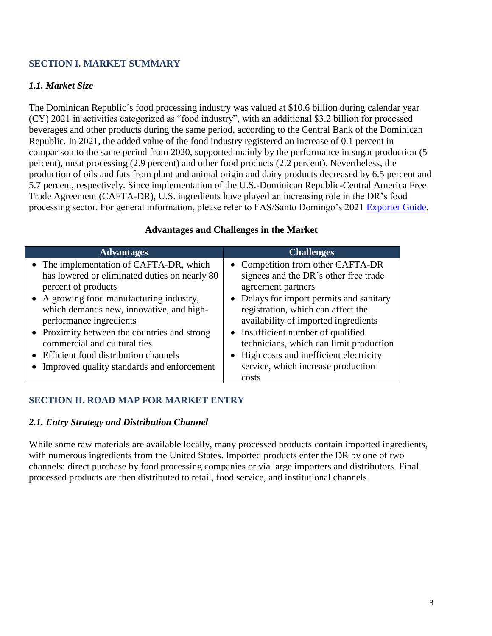## **SECTION I. MARKET SUMMARY**

## *1.1. Market Size*

The Dominican Republic´s food processing industry was valued at \$10.6 billion during calendar year (CY) 2021 in activities categorized as "food industry", with an additional \$3.2 billion for processed beverages and other products during the same period, according to the Central Bank of the Dominican Republic. In 2021, the added value of the food industry registered an increase of 0.1 percent in comparison to the same period from 2020, supported mainly by the performance in sugar production (5 percent), meat processing (2.9 percent) and other food products (2.2 percent). Nevertheless, the production of oils and fats from plant and animal origin and dairy products decreased by 6.5 percent and 5.7 percent, respectively. Since implementation of the U.S.-Dominican Republic-Central America Free Trade Agreement (CAFTA-DR), U.S. ingredients have played an increasing role in the DR's food processing sector. For general information, please refer to FAS/Santo Domingo's 2021 [Exporter Guide.](https://www.fas.usda.gov/data/dominican-republic-exporter-guide-6)

| <b>Advantages</b>                                                                                                                                                                                                                  | <b>Challenges</b>                                                                                                                                                                                                          |
|------------------------------------------------------------------------------------------------------------------------------------------------------------------------------------------------------------------------------------|----------------------------------------------------------------------------------------------------------------------------------------------------------------------------------------------------------------------------|
| • The implementation of CAFTA-DR, which<br>has lowered or eliminated duties on nearly 80<br>percent of products<br>• A growing food manufacturing industry,<br>which demands new, innovative, and high-<br>performance ingredients | • Competition from other CAFTA-DR<br>signees and the DR's other free trade<br>agreement partners<br>• Delays for import permits and sanitary<br>registration, which can affect the<br>availability of imported ingredients |
| • Proximity between the countries and strong<br>commercial and cultural ties<br>• Efficient food distribution channels<br>Improved quality standards and enforcement                                                               | • Insufficient number of qualified<br>technicians, which can limit production<br>• High costs and inefficient electricity<br>service, which increase production<br>costs                                                   |

#### **Advantages and Challenges in the Market**

## **SECTION II. ROAD MAP FOR MARKET ENTRY**

#### *2.1. Entry Strategy and Distribution Channel*

While some raw materials are available locally, many processed products contain imported ingredients, with numerous ingredients from the United States. Imported products enter the DR by one of two channels: direct purchase by food processing companies or via large importers and distributors. Final processed products are then distributed to retail, food service, and institutional channels.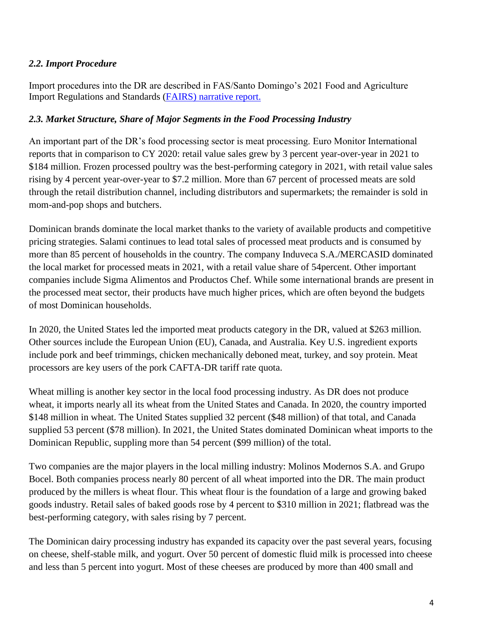## *2.2. Import Procedure*

Import procedures into the DR are described in FAS/Santo Domingo's 2021 Food and Agriculture Import Regulations and Standards [\(FAIRS\)](https://apps.fas.usda.gov/newgainapi/api/Report/DownloadReportByFileName?fileName=Food%20and%20Agricultural%20Import%20Regulations%20and%20Standards%20Country%20Report_Santo%20Domingo_Dominican%20Republic_06-30-2021) narrative report.

## *2.3. Market Structure, Share of Major Segments in the Food Processing Industry*

An important part of the DR's food processing sector is meat processing. Euro Monitor International reports that in comparison to CY 2020: retail value sales grew by 3 percent year-over-year in 2021 to \$184 million. Frozen processed poultry was the best-performing category in 2021, with retail value sales rising by 4 percent year-over-year to \$7.2 million. More than 67 percent of processed meats are sold through the retail distribution channel, including distributors and supermarkets; the remainder is sold in mom-and-pop shops and butchers.

Dominican brands dominate the local market thanks to the variety of available products and competitive pricing strategies. Salami continues to lead total sales of processed meat products and is consumed by more than 85 percent of households in the country. The company Induveca S.A./MERCASID dominated the local market for processed meats in 2021, with a retail value share of 54percent. Other important companies include Sigma Alimentos and Productos Chef. While some international brands are present in the processed meat sector, their products have much higher prices, which are often beyond the budgets of most Dominican households.

In 2020, the United States led the imported meat products category in the DR, valued at \$263 million. Other sources include the European Union (EU), Canada, and Australia. Key U.S. ingredient exports include pork and beef trimmings, chicken mechanically deboned meat, turkey, and soy protein. Meat processors are key users of the pork CAFTA-DR tariff rate quota.

Wheat milling is another key sector in the local food processing industry. As DR does not produce wheat, it imports nearly all its wheat from the United States and Canada. In 2020, the country imported \$148 million in wheat. The United States supplied 32 percent (\$48 million) of that total, and Canada supplied 53 percent (\$78 million). In 2021, the United States dominated Dominican wheat imports to the Dominican Republic, suppling more than 54 percent (\$99 million) of the total.

Two companies are the major players in the local milling industry: Molinos Modernos S.A. and Grupo Bocel. Both companies process nearly 80 percent of all wheat imported into the DR. The main product produced by the millers is wheat flour. This wheat flour is the foundation of a large and growing baked goods industry. Retail sales of baked goods rose by 4 percent to \$310 million in 2021; flatbread was the best-performing category, with sales rising by 7 percent.

The Dominican dairy processing industry has expanded its capacity over the past several years, focusing on cheese, shelf-stable milk, and yogurt. Over 50 percent of domestic fluid milk is processed into cheese and less than 5 percent into yogurt. Most of these cheeses are produced by more than 400 small and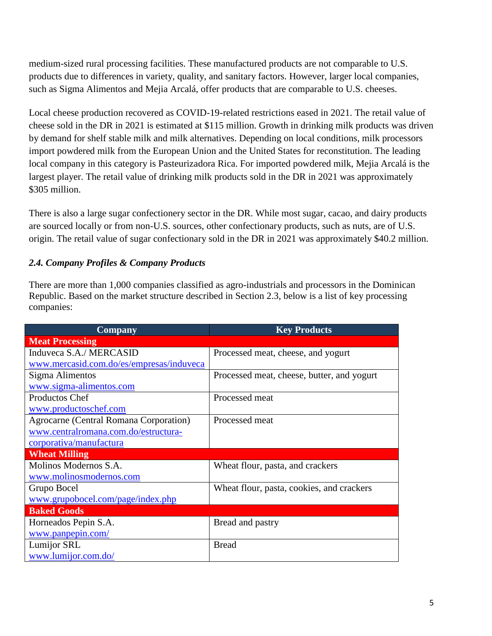medium-sized rural processing facilities. These manufactured products are not comparable to U.S. products due to differences in variety, quality, and sanitary factors. However, larger local companies, such as Sigma Alimentos and Mejia Arcalá, offer products that are comparable to U.S. cheeses.

Local cheese production recovered as COVID-19-related restrictions eased in 2021. The retail value of cheese sold in the DR in 2021 is estimated at \$115 million. Growth in drinking milk products was driven by demand for shelf stable milk and milk alternatives. Depending on local conditions, milk processors import powdered milk from the European Union and the United States for reconstitution. The leading local company in this category is Pasteurizadora Rica. For imported powdered milk, Mejia Arcalá is the largest player. The retail value of drinking milk products sold in the DR in 2021 was approximately \$305 million.

There is also a large sugar confectionery sector in the DR. While most sugar, cacao, and dairy products are sourced locally or from non-U.S. sources, other confectionary products, such as nuts, are of U.S. origin. The retail value of sugar confectionary sold in the DR in 2021 was approximately \$40.2 million.

# *2.4. Company Profiles & Company Products*

There are more than 1,000 companies classified as agro-industrials and processors in the Dominican Republic. Based on the market structure described in Section 2.3, below is a list of key processing companies:

| <b>Company</b>                           | <b>Key Products</b>                        |
|------------------------------------------|--------------------------------------------|
| <b>Meat Processing</b>                   |                                            |
| Induveca S.A./ MERCASID                  | Processed meat, cheese, and yogurt         |
| www.mercasid.com.do/es/empresas/induveca |                                            |
| Sigma Alimentos                          | Processed meat, cheese, butter, and yogurt |
| www.sigma-alimentos.com                  |                                            |
| Productos Chef                           | Processed meat                             |
| www.productoschef.com                    |                                            |
| Agrocarne (Central Romana Corporation)   | Processed meat                             |
| www.centralromana.com.do/estructura-     |                                            |
| corporativa/manufactura                  |                                            |
| <b>Wheat Milling</b>                     |                                            |
| Molinos Modernos S.A.                    | Wheat flour, pasta, and crackers           |
| www.molinosmodernos.com                  |                                            |
| Grupo Bocel                              | Wheat flour, pasta, cookies, and crackers  |
| www.grupobocel.com/page/index.php        |                                            |
| <b>Baked Goods</b>                       |                                            |
| Horneados Pepin S.A.                     | Bread and pastry                           |
| www.panpepin.com/                        |                                            |
| Lumijor SRL                              | <b>Bread</b>                               |
| www.lumijor.com.do/                      |                                            |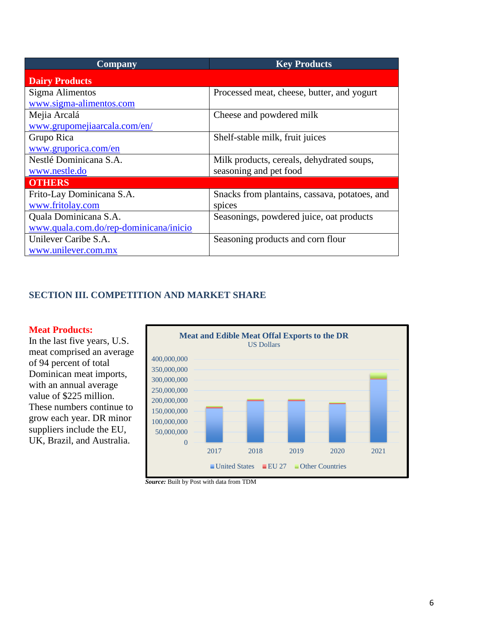| <b>Company</b>                         | <b>Key Products</b>                           |
|----------------------------------------|-----------------------------------------------|
| <b>Dairy Products</b>                  |                                               |
| Sigma Alimentos                        | Processed meat, cheese, butter, and yogurt    |
| www.sigma-alimentos.com                |                                               |
| Mejia Arcalá                           | Cheese and powdered milk                      |
| www.grupomejiaarcala.com/en/           |                                               |
| Grupo Rica                             | Shelf-stable milk, fruit juices               |
| www.gruporica.com/en                   |                                               |
| Nestlé Dominicana S.A.                 | Milk products, cereals, dehydrated soups,     |
| www.nestle.do                          | seasoning and pet food                        |
| <b>OTHERS</b>                          |                                               |
| Frito-Lay Dominicana S.A.              | Snacks from plantains, cassava, potatoes, and |
| www.fritolay.com                       | spices                                        |
| Quala Dominicana S.A.                  | Seasonings, powdered juice, oat products      |
| www.quala.com.do/rep-dominicana/inicio |                                               |
| Unilever Caribe S.A.                   | Seasoning products and corn flour             |
| www.unilever.com.mx                    |                                               |

## **SECTION III. COMPETITION AND MARKET SHARE**

#### **Meat Products:**

In the last five years, U.S. meat comprised an average of 94 percent of total Dominican meat imports, with an annual average value of \$225 million. These numbers continue to grow each year. DR minor suppliers include the EU, UK, Brazil, and Australia.



*Source:* Built by Post with data from TDM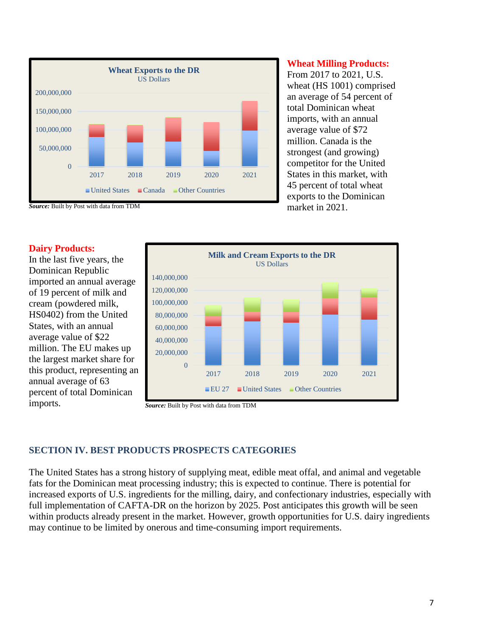

#### **Wheat Milling Products:**

From 2017 to 2021, U.S. wheat (HS 1001) comprised an average of 54 percent of total Dominican wheat imports, with an annual average value of \$72 million. Canada is the strongest (and growing) competitor for the United States in this market, with 45 percent of total wheat exports to the Dominican market in 2021.



In the last five years, the Dominican Republic imported an annual average of 19 percent of milk and cream (powdered milk, HS0402) from the United States, with an annual average value of \$22 million. The EU makes up the largest market share for this product, representing an annual average of 63 percent of total Dominican imports. *Source:* Built by Post with data from TDM



## **SECTION IV. BEST PRODUCTS PROSPECTS CATEGORIES**

The United States has a strong history of supplying meat, edible meat offal, and animal and vegetable fats for the Dominican meat processing industry; this is expected to continue. There is potential for increased exports of U.S. ingredients for the milling, dairy, and confectionary industries, especially with full implementation of CAFTA-DR on the horizon by 2025. Post anticipates this growth will be seen within products already present in the market. However, growth opportunities for U.S. dairy ingredients may continue to be limited by onerous and time-consuming import requirements.